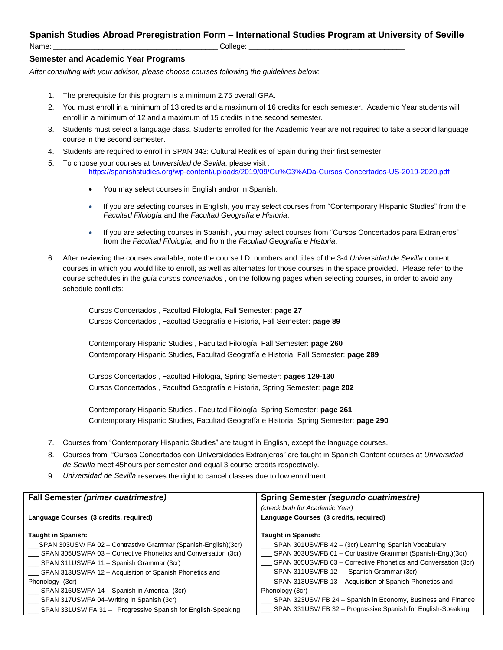## **Spanish Studies Abroad Preregistration Form – International Studies Program at University of Seville**

Name: \_\_\_\_\_\_\_\_\_\_\_\_\_\_\_\_\_\_\_\_\_\_\_\_\_\_\_\_\_\_\_\_\_\_\_\_\_\_\_\_ College: \_\_\_\_\_\_\_\_\_\_\_\_\_\_\_\_\_\_\_\_\_\_\_\_\_\_\_\_\_\_\_\_\_\_\_\_\_\_

## **Semester and Academic Year Programs**

*After consulting with your advisor, please choose courses following the guidelines below:*

- 1. The prerequisite for this program is a minimum 2.75 overall GPA.
- 2. You must enroll in a minimum of 13 credits and a maximum of 16 credits for each semester. Academic Year students will enroll in a minimum of 12 and a maximum of 15 credits in the second semester.
- 3. Students must select a language class. Students enrolled for the Academic Year are not required to take a second language course in the second semester.
- 4. Students are required to enroll in SPAN 343: Cultural Realities of Spain during their first semester.
- 5. To choose your courses at *Universidad de Sevilla*, please visit : <https://spanishstudies.org/wp-content/uploads/2019/09/Gu%C3%ADa-Cursos-Concertados-US-2019-2020.pdf>
	- You may select courses in English and/or in Spanish.
	- If you are selecting courses in English, you may select courses from "Contemporary Hispanic Studies" from the *Facultad Filología* and the *Facultad Geografía e Historia*.
	- If you are selecting courses in Spanish, you may select courses from "Cursos Concertados para Extranjeros" from the *Facultad Filología,* and from the *Facultad Geografía e Historia*.
- 6. After reviewing the courses available, note the course I.D. numbers and titles of the 3-4 *Universidad de Sevilla* content courses in which you would like to enroll, as well as alternates for those courses in the space provided. Please refer to the course schedules in the *guia cursos concertados* , on the following pages when selecting courses, in order to avoid any schedule conflicts:

Cursos Concertados , Facultad Filología, Fall Semester: **page 27** Cursos Concertados , Facultad Geografía e Historia, Fall Semester: **page 89**

Contemporary Hispanic Studies , Facultad Filología, Fall Semester: **page 260** Contemporary Hispanic Studies, Facultad Geografía e Historia, Fall Semester: **page 289**

Cursos Concertados , Facultad Filología, Spring Semester: **pages 129-130** Cursos Concertados , Facultad Geografía e Historia, Spring Semester: **page 202**

Contemporary Hispanic Studies , Facultad Filología, Spring Semester: **page 261** Contemporary Hispanic Studies, Facultad Geografía e Historia, Spring Semester: **page 290**

- 7. Courses from "Contemporary Hispanic Studies" are taught in English, except the language courses.
- 8. Courses from "Cursos Concertados con Universidades Extranjeras" are taught in Spanish Content courses at *Universidad de Sevilla* meet 45hours per semester and equal 3 course credits respectively.
- 9. *Universidad de Sevilla* reserves the right to cancel classes due to low enrollment.

| Fall Semester (primer cuatrimestre) ___                         | Spring Semester (segundo cuatrimestre)                           |
|-----------------------------------------------------------------|------------------------------------------------------------------|
|                                                                 | (check both for Academic Year)                                   |
| Language Courses (3 credits, required)                          | Language Courses (3 credits, required)                           |
|                                                                 |                                                                  |
| <b>Taught in Spanish:</b>                                       | <b>Taught in Spanish:</b>                                        |
| SPAN 303USV/ FA 02 - Contrastive Grammar (Spanish-English)(3cr) | SPAN 301USV/FB 42 - (3cr) Learning Spanish Vocabulary            |
| SPAN 305USV/FA 03 – Corrective Phonetics and Conversation (3cr) | SPAN 303USV/FB 01 - Contrastive Grammar (Spanish-Eng.)(3cr)      |
| __ SPAN 311USV/FA 11 - Spanish Grammar (3cr)                    | SPAN 305USV/FB 03 - Corrective Phonetics and Conversation (3cr)  |
| SPAN 313USV/FA 12 - Acquisition of Spanish Phonetics and        | __ SPAN 311USV/FB 12 - Spanish Grammar (3cr)                     |
| Phonology (3cr)                                                 | SPAN 313USV/FB 13 - Acquisition of Spanish Phonetics and         |
| __ SPAN 315USV/FA 14 - Spanish in America (3cr)                 | Phonology (3cr)                                                  |
| SPAN 317USV/FA 04–Writing in Spanish (3cr)                      | __ SPAN 323USV/ FB 24 - Spanish in Economy, Business and Finance |
| SPAN 331USV/FA 31 - Progressive Spanish for English-Speaking    | SPAN 331USV/FB 32 - Progressive Spanish for English-Speaking     |